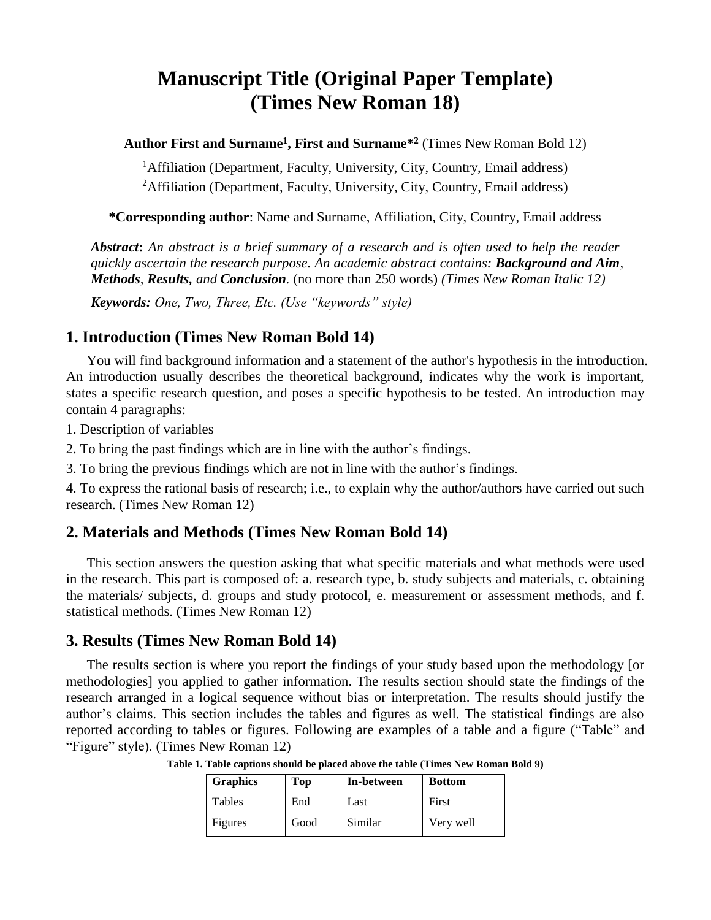# **Manuscript Title (Original Paper Template) (Times New Roman 18)**

**Author First and Surname<sup>1</sup> , First and Surname\* 2** (Times New Roman Bold 12)

<sup>1</sup>Affiliation (Department, Faculty, University, City, Country, Email address) <sup>2</sup>Affiliation (Department, Faculty, University, City, Country, Email address)

**\*Corresponding author**: Name and Surname, Affiliation, City, Country, Email address

*Abstract***:** *An abstract is a brief summary of a research and is often used to help the reader quickly ascertain the research purpose. An academic abstract contains: Background and Aim, Methods, Results, and Conclusion.* (no more than 250 words) *(Times New Roman Italic 12)*

*Keywords: One, Two, Three, Etc. (Use "keywords" style)*

### **1. Introduction (Times New Roman Bold 14)**

You will find background information and a statement of the author's hypothesis in the introduction. An introduction usually describes the theoretical background, indicates why the work is important, states a specific research question, and poses a specific hypothesis to be tested. An introduction may contain 4 paragraphs:

1. Description of variables

2. To bring the past findings which are in line with the author's findings.

3. To bring the previous findings which are not in line with the author's findings.

4. To express the rational basis of research; i.e., to explain why the author/authors have carried out such research. (Times New Roman 12)

## **2. Materials and Methods (Times New Roman Bold 14)**

This section answers the question asking that what specific materials and what methods were used in the research. This part is composed of: a. research type, b. study subjects and materials, c. obtaining the materials/ subjects, d. groups and study protocol, e. measurement or assessment methods, and f. statistical methods. (Times New Roman 12)

#### **3. Results (Times New Roman Bold 14)**

The results section is where you report the findings of your study based upon the methodology [or methodologies] you applied to gather information. The results section should state the findings of the research arranged in a logical sequence without bias or interpretation. The results should justify the author's claims. This section includes the tables and figures as well. The statistical findings are also reported according to tables or figures. Following are examples of a table and a figure ("Table" and "Figure" style). (Times New Roman 12)

| <b>Graphics</b> | Top  | In-between | <b>Bottom</b> |
|-----------------|------|------------|---------------|
| Tables          | End  | Last       | First         |
| Figures         | Good | Similar    | Very well     |

**Table 1. Table captions should be placed above the table (Times New Roman Bold 9)**